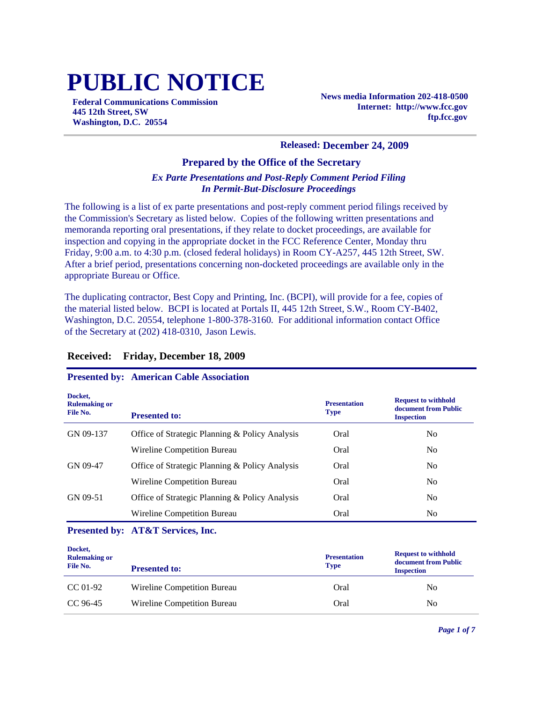# **PUBLIC NOTICE**

**Federal Communications Commission 445 12th Street, SW Washington, D.C. 20554**

**News media Information 202-418-0500 Internet: http://www.fcc.gov ftp.fcc.gov**

#### **Released: December 24, 2009**

#### **Prepared by the Office of the Secretary**

#### *Ex Parte Presentations and Post-Reply Comment Period Filing In Permit-But-Disclosure Proceedings*

The following is a list of ex parte presentations and post-reply comment period filings received by the Commission's Secretary as listed below. Copies of the following written presentations and memoranda reporting oral presentations, if they relate to docket proceedings, are available for inspection and copying in the appropriate docket in the FCC Reference Center, Monday thru Friday, 9:00 a.m. to 4:30 p.m. (closed federal holidays) in Room CY-A257, 445 12th Street, SW. After a brief period, presentations concerning non-docketed proceedings are available only in the appropriate Bureau or Office.

The duplicating contractor, Best Copy and Printing, Inc. (BCPI), will provide for a fee, copies of the material listed below. BCPI is located at Portals II, 445 12th Street, S.W., Room CY-B402, Washington, D.C. 20554, telephone 1-800-378-3160. For additional information contact Office of the Secretary at (202) 418-0310, Jason Lewis.

| Docket,<br><b>Rulemaking or</b><br>File No. | <b>Presented to:</b>                           | <b>Presentation</b><br><b>Type</b> | <b>Request to withhold</b><br>document from Public<br><b>Inspection</b> |
|---------------------------------------------|------------------------------------------------|------------------------------------|-------------------------------------------------------------------------|
| GN 09-137                                   | Office of Strategic Planning & Policy Analysis | Oral                               | No                                                                      |
|                                             | Wireline Competition Bureau                    | Oral                               | N <sub>0</sub>                                                          |
| GN 09-47                                    | Office of Strategic Planning & Policy Analysis | Oral                               | N <sub>0</sub>                                                          |
|                                             | Wireline Competition Bureau                    | Oral                               | N <sub>0</sub>                                                          |
| GN 09-51                                    | Office of Strategic Planning & Policy Analysis | Oral                               | N <sub>0</sub>                                                          |
|                                             | Wireline Competition Bureau                    | Oral                               | No                                                                      |

#### **Received: Friday, December 18, 2009**

#### **Presented by: American Cable Association**

#### **Presented by: AT&T Services, Inc.**

| Docket,<br><b>Rulemaking or</b><br>File No. | <b>Presented to:</b>        | <b>Presentation</b><br><b>Type</b> | <b>Request to withhold</b><br>document from Public<br><b>Inspection</b> |
|---------------------------------------------|-----------------------------|------------------------------------|-------------------------------------------------------------------------|
| CC 01-92                                    | Wireline Competition Bureau | Oral                               | No                                                                      |
| CC 96-45                                    | Wireline Competition Bureau | Oral                               | No                                                                      |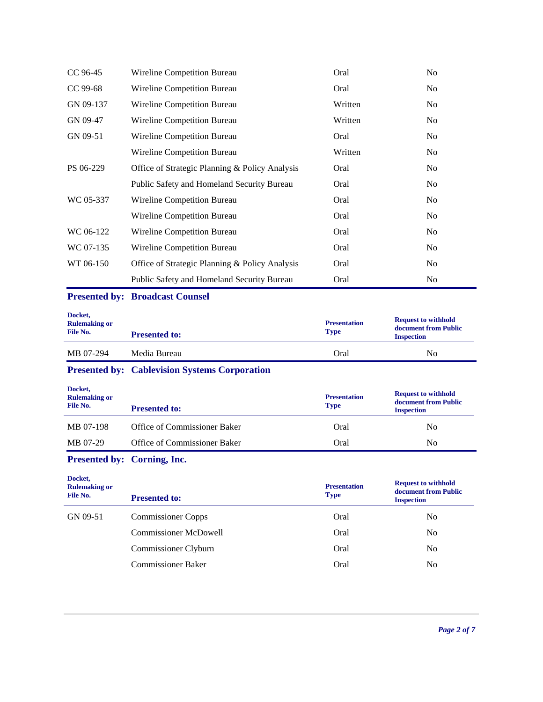| CC 96-45  | Wireline Competition Bureau                    | Oral    | No             |
|-----------|------------------------------------------------|---------|----------------|
| CC 99-68  | Wireline Competition Bureau                    | Oral    | N <sub>0</sub> |
| GN 09-137 | Wireline Competition Bureau                    | Written | N <sub>0</sub> |
| GN 09-47  | Wireline Competition Bureau                    | Written | N <sub>0</sub> |
| GN 09-51  | Wireline Competition Bureau                    | Oral    | N <sub>0</sub> |
|           | Wireline Competition Bureau                    | Written | N <sub>0</sub> |
| PS 06-229 | Office of Strategic Planning & Policy Analysis | Oral    | N <sub>0</sub> |
|           | Public Safety and Homeland Security Bureau     | Oral    | N <sub>0</sub> |
| WC 05-337 | Wireline Competition Bureau                    | Oral    | N <sub>0</sub> |
|           | Wireline Competition Bureau                    | Oral    | No             |
| WC 06-122 | Wireline Competition Bureau                    | Oral    | N <sub>0</sub> |
| WC 07-135 | Wireline Competition Bureau                    | Oral    | N <sub>0</sub> |
| WT 06-150 | Office of Strategic Planning & Policy Analysis | Oral    | N <sub>0</sub> |
|           | Public Safety and Homeland Security Bureau     | Oral    | No             |

## **Presented by: Broadcast Counsel**

| Docket,<br><b>Rulemaking or</b><br>File No. | <b>Presented to:</b> | <b>Presentation</b><br><b>Type</b> | <b>Request to withhold</b><br>document from Public<br><b>Inspection</b> |
|---------------------------------------------|----------------------|------------------------------------|-------------------------------------------------------------------------|
| MB 07-294                                   | Media Bureau         | Oral                               | No                                                                      |

# **Presented by: Cablevision Systems Corporation**

| Docket,<br><b>Rulemaking or</b><br>File No. | <b>Presented to:</b>         | <b>Presentation</b><br><b>Type</b> | <b>Request to withhold</b><br>document from Public<br><b>Inspection</b> |
|---------------------------------------------|------------------------------|------------------------------------|-------------------------------------------------------------------------|
| MB 07-198                                   | Office of Commissioner Baker | Oral                               | No                                                                      |
| MB 07-29                                    | Office of Commissioner Baker | Oral                               | N <sub>0</sub>                                                          |

# **Presented by: Corning, Inc.**

| Docket,<br><b>Rulemaking or</b><br>File No. | <b>Presented to:</b>         | <b>Presentation</b><br><b>Type</b> | <b>Request to withhold</b><br>document from Public<br><b>Inspection</b> |
|---------------------------------------------|------------------------------|------------------------------------|-------------------------------------------------------------------------|
| GN 09-51                                    | <b>Commissioner Copps</b>    | Oral                               | N <sub>0</sub>                                                          |
|                                             | <b>Commissioner McDowell</b> | Oral                               | N <sub>0</sub>                                                          |
|                                             | Commissioner Clyburn         | Oral                               | No                                                                      |
|                                             | <b>Commissioner Baker</b>    | Oral                               | No                                                                      |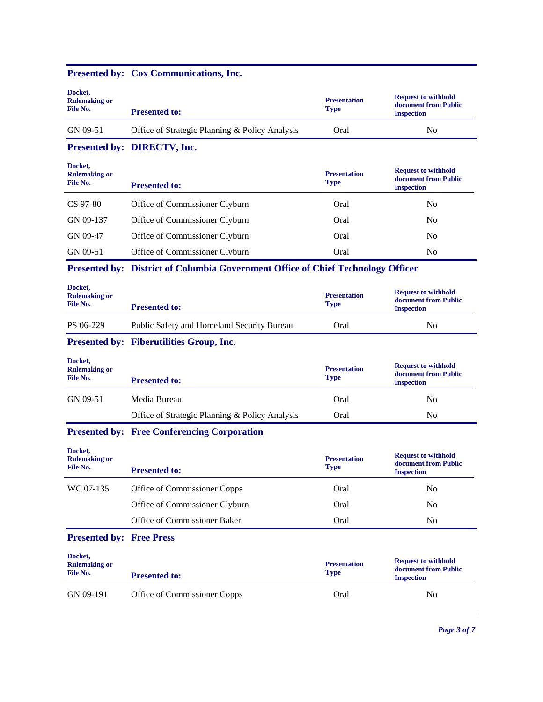| Docket,<br><b>Rulemaking or</b><br>File No. | <b>Presented to:</b>                                                             | <b>Presentation</b><br><b>Type</b> | <b>Request to withhold</b><br>document from Public<br><b>Inspection</b> |
|---------------------------------------------|----------------------------------------------------------------------------------|------------------------------------|-------------------------------------------------------------------------|
| GN 09-51                                    | Office of Strategic Planning & Policy Analysis                                   | Oral                               | N <sub>0</sub>                                                          |
|                                             | Presented by: DIRECTV, Inc.                                                      |                                    |                                                                         |
| Docket,<br><b>Rulemaking or</b><br>File No. | <b>Presented to:</b>                                                             | <b>Presentation</b><br><b>Type</b> | <b>Request to withhold</b><br>document from Public<br><b>Inspection</b> |
| CS 97-80                                    | Office of Commissioner Clyburn                                                   | Oral                               | N <sub>0</sub>                                                          |
| GN 09-137                                   | Office of Commissioner Clyburn                                                   | Oral                               | No                                                                      |
| GN 09-47                                    | Office of Commissioner Clyburn                                                   | Oral                               | No                                                                      |
| GN 09-51                                    | Office of Commissioner Clyburn                                                   | Oral                               | N <sub>0</sub>                                                          |
|                                             | Presented by: District of Columbia Government Office of Chief Technology Officer |                                    |                                                                         |
| Docket,<br><b>Rulemaking or</b><br>File No. | <b>Presented to:</b>                                                             | <b>Presentation</b><br><b>Type</b> | <b>Request to withhold</b><br>document from Public<br><b>Inspection</b> |
| PS 06-229                                   | Public Safety and Homeland Security Bureau                                       | Oral                               | N <sub>0</sub>                                                          |
|                                             | Presented by: Fiberutilities Group, Inc.                                         |                                    |                                                                         |
| Docket,<br><b>Rulemaking or</b><br>File No. | <b>Presented to:</b>                                                             | <b>Presentation</b><br><b>Type</b> | <b>Request to withhold</b><br>document from Public<br><b>Inspection</b> |
| GN 09-51                                    | Media Bureau                                                                     | Oral                               | N <sub>0</sub>                                                          |
|                                             | Office of Strategic Planning & Policy Analysis                                   | Oral                               | N <sub>0</sub>                                                          |
|                                             | <b>Presented by: Free Conferencing Corporation</b>                               |                                    |                                                                         |
| Docket,<br><b>Rulemaking or</b><br>File No. | <b>Presented to:</b>                                                             | <b>Presentation</b><br><b>Type</b> | <b>Request to withhold</b><br>document from Public<br><b>Inspection</b> |
| WC 07-135                                   | Office of Commissioner Copps                                                     | Oral                               | No                                                                      |
|                                             | Office of Commissioner Clyburn                                                   | Oral                               | No                                                                      |
|                                             | Office of Commissioner Baker                                                     | Oral                               | No                                                                      |
| <b>Presented by: Free Press</b>             |                                                                                  |                                    |                                                                         |
| Docket,<br><b>Rulemaking or</b><br>File No. | <b>Presented to:</b>                                                             | <b>Presentation</b><br><b>Type</b> | <b>Request to withhold</b><br>document from Public<br><b>Inspection</b> |
| GN 09-191                                   | Office of Commissioner Copps                                                     | Oral                               | No                                                                      |
|                                             |                                                                                  |                                    |                                                                         |

#### **Presented by: Cox Communications, Inc.**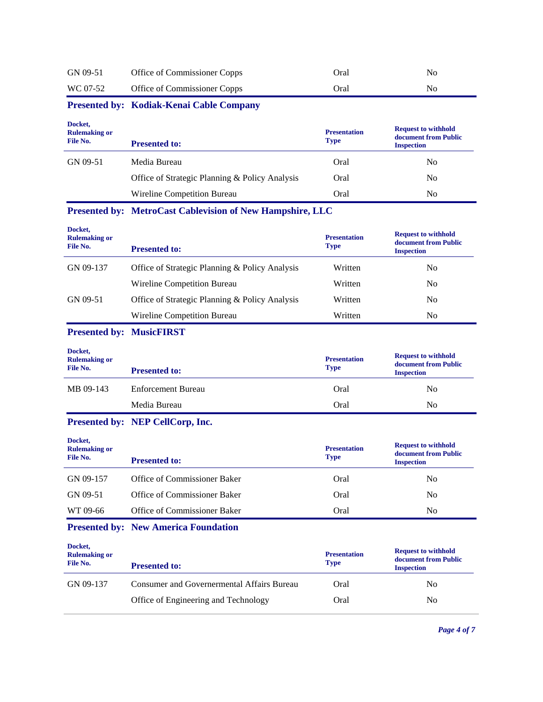| GN 09-51 | Office of Commissioner Copps | Oral | No |
|----------|------------------------------|------|----|
| WC 07-52 | Office of Commissioner Copps | Oral | No |

# **Presented by: Kodiak-Kenai Cable Company**

| Docket,<br><b>Rulemaking or</b><br>File No. | <b>Presented to:</b>                           | <b>Presentation</b><br><b>Type</b> | <b>Request to withhold</b><br>document from Public<br><b>Inspection</b> |
|---------------------------------------------|------------------------------------------------|------------------------------------|-------------------------------------------------------------------------|
| GN 09-51                                    | Media Bureau                                   | Oral                               | No                                                                      |
|                                             | Office of Strategic Planning & Policy Analysis | Oral                               | N <sub>0</sub>                                                          |
|                                             | Wireline Competition Bureau                    | Oral                               | N <sub>0</sub>                                                          |

## **Presented by: MetroCast Cablevision of New Hampshire, LLC**

| Docket,<br><b>Rulemaking or</b><br>File No. | <b>Presented to:</b>                           | <b>Presentation</b><br><b>Type</b> | <b>Request to withhold</b><br>document from Public<br><b>Inspection</b> |
|---------------------------------------------|------------------------------------------------|------------------------------------|-------------------------------------------------------------------------|
| GN 09-137                                   | Office of Strategic Planning & Policy Analysis | Written                            | No                                                                      |
|                                             | Wireline Competition Bureau                    | Written                            | No                                                                      |
| GN 09-51                                    | Office of Strategic Planning & Policy Analysis | Written                            | No                                                                      |
|                                             | Wireline Competition Bureau                    | Written                            | No                                                                      |

## **Presented by: MusicFIRST**

| Docket,<br><b>Rulemaking or</b><br>File No. | <b>Presented to:</b> | <b>Presentation</b><br><b>Type</b> | <b>Request to withhold</b><br>document from Public<br><b>Inspection</b> |
|---------------------------------------------|----------------------|------------------------------------|-------------------------------------------------------------------------|
| MB 09-143                                   | Enforcement Bureau   | Oral                               | N <sub>0</sub>                                                          |
|                                             | Media Bureau         | Oral                               | No                                                                      |

# **Presented by: NEP CellCorp, Inc.**

| Docket,<br><b>Rulemaking or</b><br>File No. | <b>Presented to:</b>         | <b>Presentation</b><br><b>Type</b> | <b>Request to withhold</b><br>document from Public<br><b>Inspection</b> |
|---------------------------------------------|------------------------------|------------------------------------|-------------------------------------------------------------------------|
| GN 09-157                                   | Office of Commissioner Baker | Oral                               | N <sub>0</sub>                                                          |
| GN 09-51                                    | Office of Commissioner Baker | Oral                               | N <sub>0</sub>                                                          |
| WT 09-66                                    | Office of Commissioner Baker | Oral                               | N <sub>0</sub>                                                          |

## **Presented by: New America Foundation**

| Docket,<br><b>Rulemaking or</b><br>File No. | <b>Presented to:</b>                       | <b>Presentation</b><br><b>Type</b> | <b>Request to withhold</b><br>document from Public<br><b>Inspection</b> |
|---------------------------------------------|--------------------------------------------|------------------------------------|-------------------------------------------------------------------------|
| GN 09-137                                   | Consumer and Governermental Affairs Bureau | Oral                               | No                                                                      |
|                                             | Office of Engineering and Technology       | Oral                               | No                                                                      |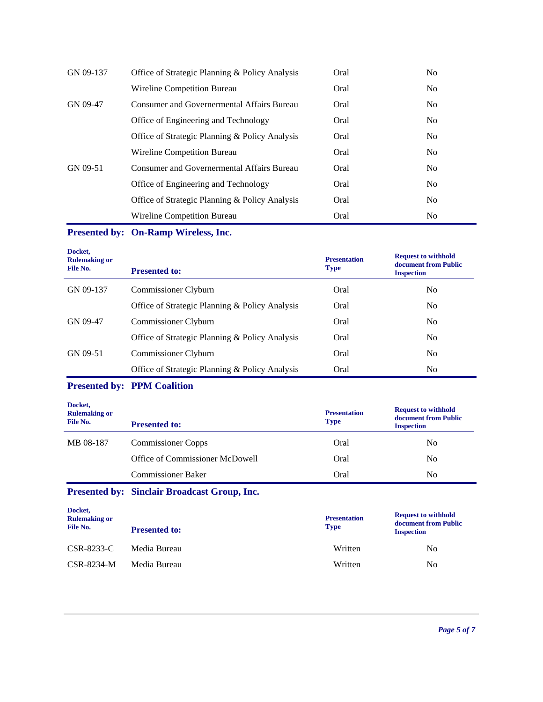| GN 09-137 | Office of Strategic Planning & Policy Analysis | Oral | N <sub>0</sub> |
|-----------|------------------------------------------------|------|----------------|
|           | Wireline Competition Bureau                    | Oral | N <sub>0</sub> |
| GN 09-47  | Consumer and Governermental Affairs Bureau     | Oral | N <sub>0</sub> |
|           | Office of Engineering and Technology           | Oral | N <sub>0</sub> |
|           | Office of Strategic Planning & Policy Analysis | Oral | N <sub>0</sub> |
|           | Wireline Competition Bureau                    | Oral | N <sub>0</sub> |
| GN 09-51  | Consumer and Governermental Affairs Bureau     | Oral | N <sub>0</sub> |
|           | Office of Engineering and Technology           | Oral | N <sub>0</sub> |
|           | Office of Strategic Planning & Policy Analysis | Oral | N <sub>0</sub> |
|           | Wireline Competition Bureau                    | Oral | N <sub>0</sub> |

**Presented by: On-Ramp Wireless, Inc.**

| Docket,<br><b>Rulemaking or</b><br>File No. | <b>Presented to:</b>                           | <b>Presentation</b><br><b>Type</b> | <b>Request to withhold</b><br>document from Public<br><b>Inspection</b> |
|---------------------------------------------|------------------------------------------------|------------------------------------|-------------------------------------------------------------------------|
| GN 09-137                                   | Commissioner Clyburn                           | Oral                               | N <sub>0</sub>                                                          |
|                                             | Office of Strategic Planning & Policy Analysis | Oral                               | N <sub>0</sub>                                                          |
| GN 09-47                                    | Commissioner Clyburn                           | Oral                               | N <sub>0</sub>                                                          |
|                                             | Office of Strategic Planning & Policy Analysis | Oral                               | N <sub>0</sub>                                                          |
| GN 09-51                                    | Commissioner Clyburn                           | Oral                               | N <sub>0</sub>                                                          |
|                                             | Office of Strategic Planning & Policy Analysis | Oral                               | N <sub>0</sub>                                                          |

## **Presented by: PPM Coalition**

| Docket,<br><b>Rulemaking or</b><br>File No. | <b>Presented to:</b>            | <b>Presentation</b><br><b>Type</b> | <b>Request to withhold</b><br>document from Public<br><b>Inspection</b> |
|---------------------------------------------|---------------------------------|------------------------------------|-------------------------------------------------------------------------|
| MB 08-187                                   | <b>Commissioner Copps</b>       | Oral                               | No                                                                      |
|                                             | Office of Commissioner McDowell | Oral                               | No                                                                      |
|                                             | <b>Commissioner Baker</b>       | Oral                               | No                                                                      |
|                                             |                                 |                                    |                                                                         |

# **Presented by: Sinclair Broadcast Group, Inc.**

| Docket,<br><b>Rulemaking or</b><br>File No. | <b>Presented to:</b> | <b>Presentation</b><br><b>Type</b> | <b>Request to withhold</b><br>document from Public<br><b>Inspection</b> |
|---------------------------------------------|----------------------|------------------------------------|-------------------------------------------------------------------------|
| CSR-8233-C                                  | Media Bureau         | Written                            | N <sub>0</sub>                                                          |
| CSR-8234-M                                  | Media Bureau         | Written                            | No                                                                      |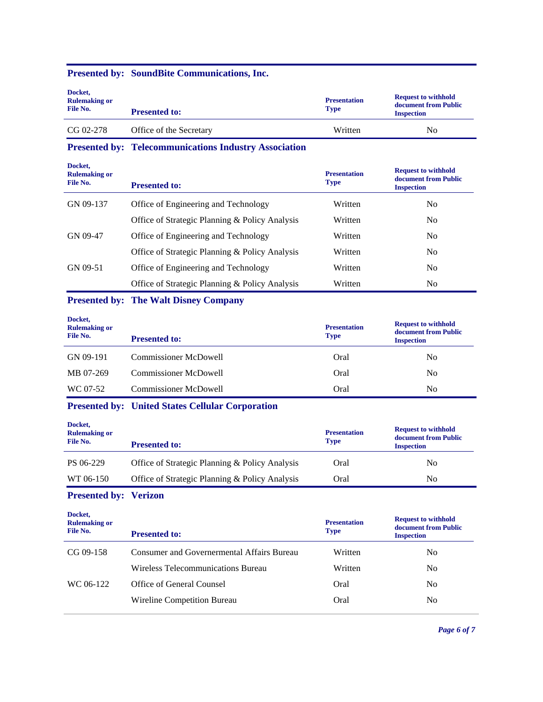#### **Presented by: SoundBite Communications, Inc.**

| Docket,<br><b>Rulemaking or</b><br>File No. | <b>Presented to:</b>    | <b>Presentation</b><br><b>Type</b> | <b>Request to withhold</b><br>document from Public<br><b>Inspection</b> |
|---------------------------------------------|-------------------------|------------------------------------|-------------------------------------------------------------------------|
| $CG 02-278$                                 | Office of the Secretary | Written                            | No                                                                      |

**Presented by: Telecommunications Industry Association**

| Docket.<br><b>Rulemaking or</b><br>File No. | <b>Presented to:</b>                           | <b>Presentation</b><br><b>Type</b> | <b>Request to withhold</b><br>document from Public<br><b>Inspection</b> |
|---------------------------------------------|------------------------------------------------|------------------------------------|-------------------------------------------------------------------------|
| GN 09-137                                   | Office of Engineering and Technology           | Written                            | No.                                                                     |
|                                             | Office of Strategic Planning & Policy Analysis | Written                            | N <sub>0</sub>                                                          |
| GN 09-47                                    | Office of Engineering and Technology           | Written                            | N <sub>0</sub>                                                          |
|                                             | Office of Strategic Planning & Policy Analysis | Written                            | N <sub>0</sub>                                                          |
| GN 09-51                                    | Office of Engineering and Technology           | Written                            | N <sub>0</sub>                                                          |
|                                             | Office of Strategic Planning & Policy Analysis | Written                            | N <sub>0</sub>                                                          |

## **Presented by: The Walt Disney Company**

| Docket,<br><b>Rulemaking or</b><br>File No. | <b>Presented to:</b>         | <b>Presentation</b><br><b>Type</b> | <b>Request to withhold</b><br>document from Public<br><b>Inspection</b> |
|---------------------------------------------|------------------------------|------------------------------------|-------------------------------------------------------------------------|
| GN 09-191                                   | <b>Commissioner McDowell</b> | Oral                               | No                                                                      |
| MB 07-269                                   | <b>Commissioner McDowell</b> | Oral                               | N <sub>0</sub>                                                          |
| WC 07-52                                    | <b>Commissioner McDowell</b> | Oral                               | N <sub>0</sub>                                                          |

## **Presented by: United States Cellular Corporation**

| Docket,<br><b>Rulemaking or</b><br>File No. | <b>Presented to:</b>                           | <b>Presentation</b><br><b>Type</b> | <b>Request to withhold</b><br>document from Public<br><b>Inspection</b> |
|---------------------------------------------|------------------------------------------------|------------------------------------|-------------------------------------------------------------------------|
| PS 06-229                                   | Office of Strategic Planning & Policy Analysis | Oral                               | No                                                                      |
| WT 06-150                                   | Office of Strategic Planning & Policy Analysis | Oral                               | N <sub>0</sub>                                                          |

## **Presented by: Verizon**

| Docket,<br><b>Rulemaking or</b><br>File No. | <b>Presented to:</b>                              | <b>Presentation</b><br><b>Type</b> | <b>Request to withhold</b><br>document from Public<br><b>Inspection</b> |
|---------------------------------------------|---------------------------------------------------|------------------------------------|-------------------------------------------------------------------------|
| $CG 09-158$                                 | <b>Consumer and Governermental Affairs Bureau</b> | Written                            | No.                                                                     |
|                                             | Wireless Telecommunications Bureau                | Written                            | N <sub>0</sub>                                                          |
| WC 06-122                                   | Office of General Counsel                         | Oral                               | No                                                                      |
|                                             | Wireline Competition Bureau                       | Oral                               | No.                                                                     |